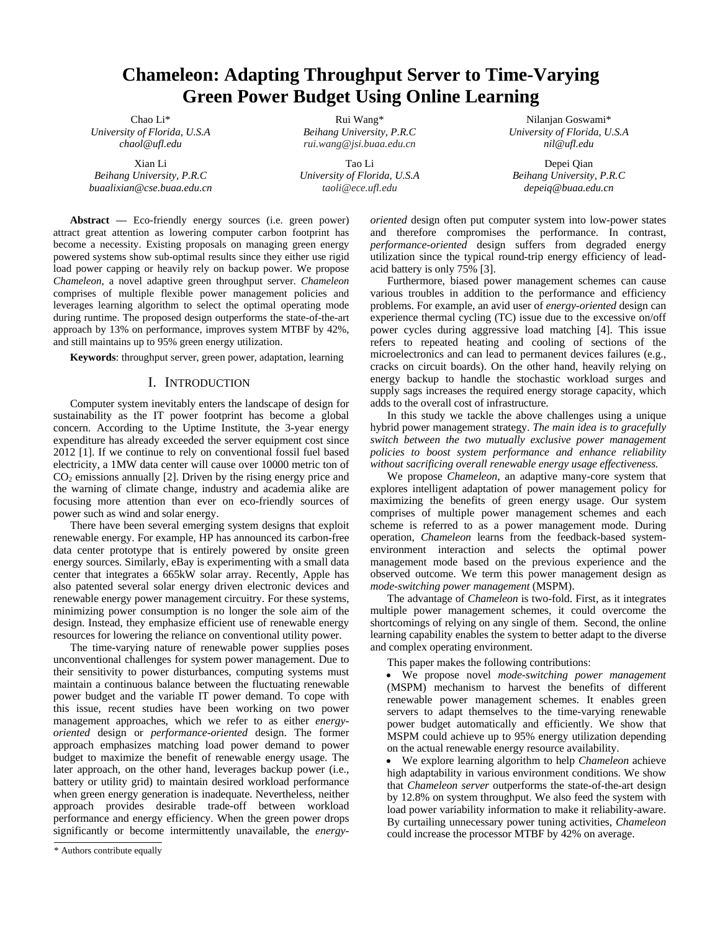# **Chameleon: Adapting Throughput Server to Time-Varying Green Power Budget Using Online Learning**

Chao Li\* *University of Florida, U.S.A chaol@ufl.edu*

Xian Li *Beihang University, P.R.C buaalixian@cse.buaa.edu.cn*

Rui Wang\* *Beihang University, P.R.C rui.wang@jsi.buaa.edu.cn*

Tao Li *University of Florida, U.S.A taoli@ece.ufl.edu*

Nilanjan Goswami\* *University of Florida, U.S.A nil@ufl.edu*

Depei Qian *Beihang University, P.R.C depeiq@buaa.edu.cn*

Abstract — Eco-friendly energy sources (i.e. green power) attract great attention as lowering computer carbon footprint has become a necessity. Existing proposals on managing green energy powered systems show sub-optimal results since they either use rigid load power capping or heavily rely on backup power. We propose *Chameleon*, a novel adaptive green throughput server. *Chameleon* comprises of multiple flexible power management policies and leverages learning algorithm to select the optimal operating mode during runtime. The proposed design outperforms the state-of-the-art approach by 13% on performance, improves system MTBF by 42%, and still maintains up to 95% green energy utilization.

**Keywords**: throughput server, green power, adaptation, learning

# I. INTRODUCTION

Computer system inevitably enters the landscape of design for sustainability as the IT power footprint has become a global concern. According to the Uptime Institute, the 3-year energy expenditure has already exceeded the server equipment cost since 2012 [1]. If we continue to rely on conventional fossil fuel based electricity, a 1MW data center will cause over 10000 metric ton of  $CO<sub>2</sub>$  emissions annually [2]. Driven by the rising energy price and the warning of climate change, industry and academia alike are focusing more attention than ever on eco-friendly sources of power such as wind and solar energy.

There have been several emerging system designs that exploit renewable energy. For example, HP has announced its carbon-free data center prototype that is entirely powered by onsite green energy sources. Similarly, eBay is experimenting with a small data center that integrates a 665kW solar array. Recently, Apple has also patented several solar energy driven electronic devices and renewable energy power management circuitry. For these systems, minimizing power consumption is no longer the sole aim of the design. Instead, they emphasize efficient use of renewable energy resources for lowering the reliance on conventional utility power.

The time-varying nature of renewable power supplies poses unconventional challenges for system power management. Due to their sensitivity to power disturbances, computing systems must maintain a continuous balance between the fluctuating renewable power budget and the variable IT power demand. To cope with this issue, recent studies have been working on two power management approaches, which we refer to as either *energyoriented* design or *performance-oriented* design. The former approach emphasizes matching load power demand to power budget to maximize the benefit of renewable energy usage. The later approach, on the other hand, leverages backup power (i.e., battery or utility grid) to maintain desired workload performance when green energy generation is inadequate. Nevertheless, neither approach provides desirable trade-off between workload performance and energy efficiency. When the green power drops significantly or become intermittently unavailable, the *energy-* *oriented* design often put computer system into low-power states and therefore compromises the performance. In contrast, *performance-oriented* design suffers from degraded energy utilization since the typical round-trip energy efficiency of leadacid battery is only 75% [3].

Furthermore, biased power management schemes can cause various troubles in addition to the performance and efficiency problems. For example, an avid user of *energy-oriented* design can experience thermal cycling (TC) issue due to the excessive on/off power cycles during aggressive load matching [4]. This issue refers to repeated heating and cooling of sections of the microelectronics and can lead to permanent devices failures (e.g., cracks on circuit boards). On the other hand, heavily relying on energy backup to handle the stochastic workload surges and supply sags increases the required energy storage capacity, which adds to the overall cost of infrastructure.

In this study we tackle the above challenges using a unique hybrid power management strategy. *The main idea is to gracefully switch between the two mutually exclusive power management policies to boost system performance and enhance reliability without sacrificing overall renewable energy usage effectiveness.* 

We propose *Chameleon*, an adaptive many-core system that explores intelligent adaptation of power management policy for maximizing the benefits of green energy usage. Our system comprises of multiple power management schemes and each scheme is referred to as a power management mode. During operation, *Chameleon* learns from the feedback-based systemenvironment interaction and selects the optimal power management mode based on the previous experience and the observed outcome. We term this power management design as *mode-switching power management* (MSPM).

The advantage of *Chameleon* is two-fold. First, as it integrates multiple power management schemes, it could overcome the shortcomings of relying on any single of them. Second, the online learning capability enables the system to better adapt to the diverse and complex operating environment.

This paper makes the following contributions:

 We propose novel *mode-switching power management* (MSPM) mechanism to harvest the benefits of different renewable power management schemes. It enables green servers to adapt themselves to the time-varying renewable power budget automatically and efficiently. We show that MSPM could achieve up to 95% energy utilization depending on the actual renewable energy resource availability.

 We explore learning algorithm to help *Chameleon* achieve high adaptability in various environment conditions. We show that *Chameleon server* outperforms the state-of-the-art design by 12.8% on system throughput. We also feed the system with load power variability information to make it reliability-aware. By curtailing unnecessary power tuning activities, *Chameleon* could increase the processor MTBF by 42% on average.

<sup>\*</sup> Authors contribute equally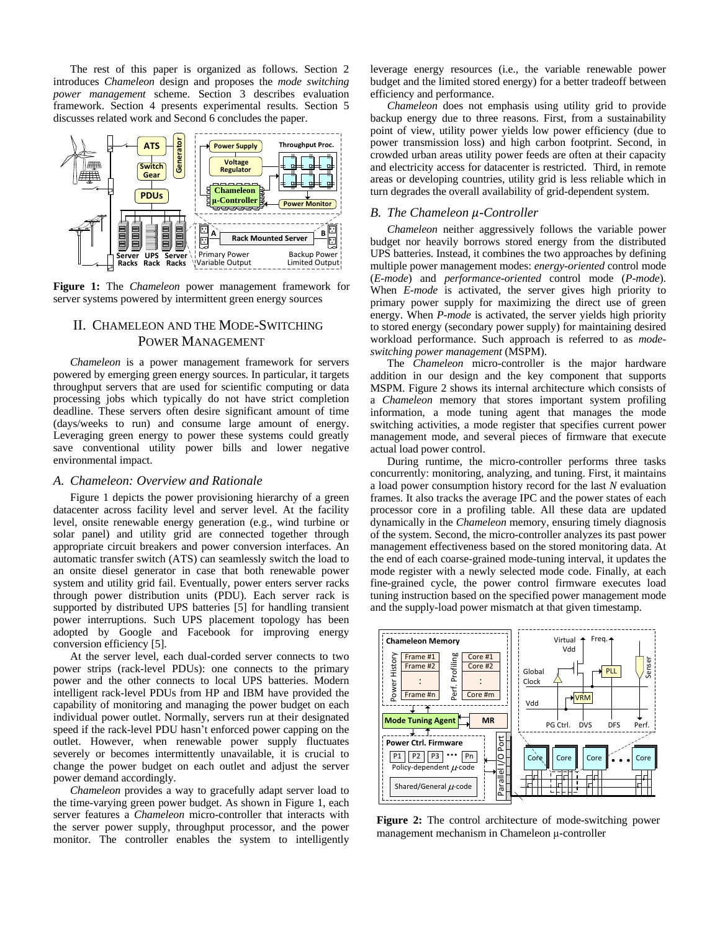The rest of this paper is organized as follows. Section 2 introduces *Chameleon* design and proposes the *mode switching power management* scheme. Section 3 describes evaluation framework. Section 4 presents experimental results. Section 5 discusses related work and Second 6 concludes the paper.



**Figure 1:** The *Chameleon* power management framework for server systems powered by intermittent green energy sources

# II. CHAMELEON AND THE MODE-SWITCHING POWER MANAGEMENT

*Chameleon* is a power management framework for servers powered by emerging green energy sources. In particular, it targets throughput servers that are used for scientific computing or data processing jobs which typically do not have strict completion deadline. These servers often desire significant amount of time (days/weeks to run) and consume large amount of energy. Leveraging green energy to power these systems could greatly save conventional utility power bills and lower negative environmental impact.

# *A. Chameleon: Overview and Rationale*

Figure 1 depicts the power provisioning hierarchy of a green datacenter across facility level and server level. At the facility level, onsite renewable energy generation (e.g., wind turbine or solar panel) and utility grid are connected together through appropriate circuit breakers and power conversion interfaces. An automatic transfer switch (ATS) can seamlessly switch the load to an onsite diesel generator in case that both renewable power system and utility grid fail. Eventually, power enters server racks through power distribution units (PDU). Each server rack is supported by distributed UPS batteries [5] for handling transient power interruptions. Such UPS placement topology has been adopted by Google and Facebook for improving energy conversion efficiency [5].

At the server level, each dual-corded server connects to two power strips (rack-level PDUs): one connects to the primary power and the other connects to local UPS batteries. Modern intelligent rack-level PDUs from HP and IBM have provided the capability of monitoring and managing the power budget on each individual power outlet. Normally, servers run at their designated speed if the rack-level PDU hasn't enforced power capping on the outlet. However, when renewable power supply fluctuates severely or becomes intermittently unavailable, it is crucial to change the power budget on each outlet and adjust the server power demand accordingly.

*Chameleon* provides a way to gracefully adapt server load to the time-varying green power budget. As shown in Figure 1, each server features a *Chameleon* micro-controller that interacts with the server power supply, throughput processor, and the power monitor. The controller enables the system to intelligently

leverage energy resources (i.e., the variable renewable power budget and the limited stored energy) for a better tradeoff between efficiency and performance.

*Chameleon* does not emphasis using utility grid to provide backup energy due to three reasons. First, from a sustainability point of view, utility power yields low power efficiency (due to power transmission loss) and high carbon footprint. Second, in crowded urban areas utility power feeds are often at their capacity and electricity access for datacenter is restricted. Third, in remote areas or developing countries, utility grid is less reliable which in turn degrades the overall availability of grid-dependent system.

# *B. The Chameleon µ-Controller*

*Chameleon* neither aggressively follows the variable power budget nor heavily borrows stored energy from the distributed UPS batteries. Instead, it combines the two approaches by defining multiple power management modes: *energy-oriented* control mode (*E-mode*) and *performance-oriented* control mode (*P-mode*). When *E-mode* is activated, the server gives high priority to primary power supply for maximizing the direct use of green energy. When *P-mode* is activated, the server yields high priority to stored energy (secondary power supply) for maintaining desired workload performance. Such approach is referred to as *modeswitching power management* (MSPM).

The *Chameleon* micro-controller is the major hardware addition in our design and the key component that supports MSPM. Figure 2 shows its internal architecture which consists of a *Chameleon* memory that stores important system profiling information, a mode tuning agent that manages the mode switching activities, a mode register that specifies current power management mode, and several pieces of firmware that execute actual load power control.

During runtime, the micro-controller performs three tasks concurrently: monitoring, analyzing, and tuning. First, it maintains a load power consumption history record for the last *N* evaluation frames. It also tracks the average IPC and the power states of each processor core in a profiling table. All these data are updated dynamically in the *Chameleon* memory, ensuring timely diagnosis of the system. Second, the micro-controller analyzes its past power management effectiveness based on the stored monitoring data. At the end of each coarse-grained mode-tuning interval, it updates the mode register with a newly selected mode code. Finally, at each fine-grained cycle, the power control firmware executes load tuning instruction based on the specified power management mode and the supply-load power mismatch at that given timestamp.



**Figure 2:** The control architecture of mode-switching power management mechanism in Chameleon  $\mu$ -controller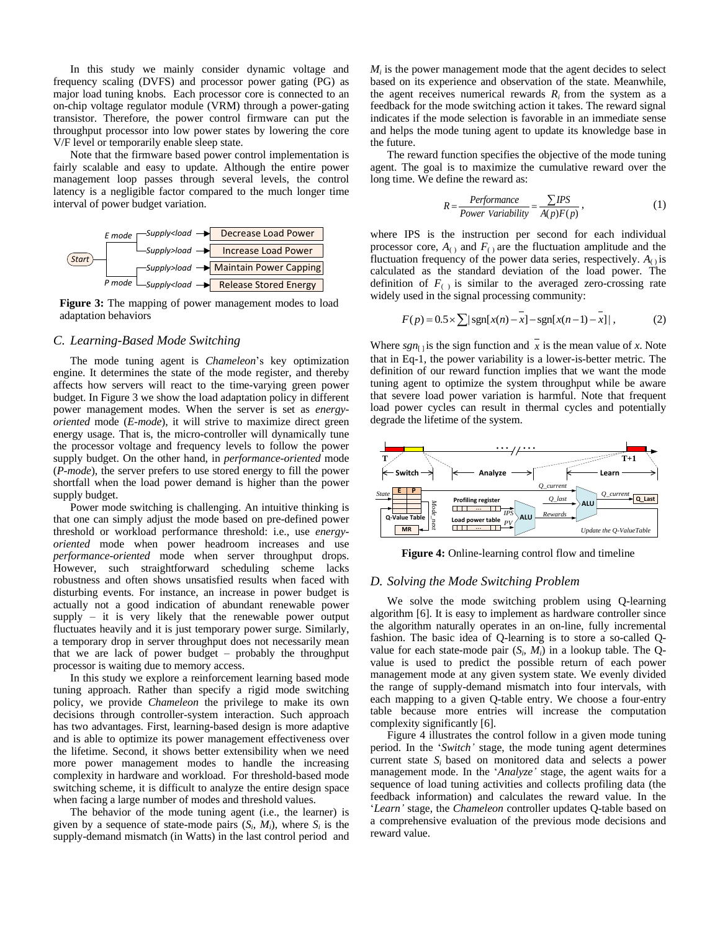In this study we mainly consider dynamic voltage and frequency scaling (DVFS) and processor power gating (PG) as major load tuning knobs. Each processor core is connected to an on-chip voltage regulator module (VRM) through a power-gating transistor. Therefore, the power control firmware can put the throughput processor into low power states by lowering the core V/F level or temporarily enable sleep state.

Note that the firmware based power control implementation is fairly scalable and easy to update. Although the entire power management loop passes through several levels, the control latency is a negligible factor compared to the much longer time interval of power budget variation.



**Figure 3:** The mapping of power management modes to load adaptation behaviors

# *C. Learning-Based Mode Switching*

The mode tuning agent is *Chameleon*'s key optimization engine. It determines the state of the mode register, and thereby affects how servers will react to the time-varying green power budget. In Figure 3 we show the load adaptation policy in different power management modes. When the server is set as *energyoriented* mode (*E-mode*), it will strive to maximize direct green energy usage. That is, the micro-controller will dynamically tune the processor voltage and frequency levels to follow the power supply budget. On the other hand, in *performance-oriented* mode (*P-mode*), the server prefers to use stored energy to fill the power shortfall when the load power demand is higher than the power supply budget.

Power mode switching is challenging. An intuitive thinking is that one can simply adjust the mode based on pre-defined power threshold or workload performance threshold: i.e., use *energyoriented* mode when power headroom increases and use *performance-oriented* mode when server throughput drops. However, such straightforward scheduling scheme lacks robustness and often shows unsatisfied results when faced with disturbing events. For instance, an increase in power budget is actually not a good indication of abundant renewable power supply – it is very likely that the renewable power output fluctuates heavily and it is just temporary power surge. Similarly, a temporary drop in server throughput does not necessarily mean that we are lack of power budget – probably the throughput processor is waiting due to memory access.

In this study we explore a reinforcement learning based mode tuning approach. Rather than specify a rigid mode switching policy, we provide *Chameleon* the privilege to make its own decisions through controller-system interaction. Such approach has two advantages. First, learning-based design is more adaptive and is able to optimize its power management effectiveness over the lifetime. Second, it shows better extensibility when we need more power management modes to handle the increasing complexity in hardware and workload. For threshold-based mode switching scheme, it is difficult to analyze the entire design space when facing a large number of modes and threshold values.

The behavior of the mode tuning agent (i.e., the learner) is given by a sequence of state-mode pairs  $(S_i, M_i)$ , where  $S_i$  is the supply-demand mismatch (in Watts) in the last control period and

 $M_i$  is the power management mode that the agent decides to select based on its experience and observation of the state. Meanwhile, the agent receives numerical rewards  $R_i$  from the system as a feedback for the mode switching action it takes. The reward signal indicates if the mode selection is favorable in an immediate sense and helps the mode tuning agent to update its knowledge base in the future.

The reward function specifies the objective of the mode tuning agent. The goal is to maximize the cumulative reward over the long time. We define the reward as:

$$
R = \frac{Performance}{Power\ Variability} = \frac{\sum IPS}{A(p)F(p)},
$$
\n(1)

where IPS is the instruction per second for each individual processor core,  $A_{(.)}$  and  $F_{(.)}$  are the fluctuation amplitude and the fluctuation frequency of the power data series, respectively.  $A_{\cap}$  is calculated as the standard deviation of the load power. The definition of  $F_{(.)}$  is similar to the averaged zero-crossing rate widely used in the signal processing community:

$$
F(p) = 0.5 \times \sum |\text{sgn}[x(n) - x] - \text{sgn}[x(n-1) - x]|,
$$
 (2)

Where  $sgn_{[1]}$  is the sign function and x is the mean value of x. Note that in Eq-1, the power variability is a lower-is-better metric. The definition of our reward function implies that we want the mode tuning agent to optimize the system throughput while be aware that severe load power variation is harmful. Note that frequent load power cycles can result in thermal cycles and potentially degrade the lifetime of the system.



**Figure 4:** Online-learning control flow and timeline

# *D. Solving the Mode Switching Problem*

We solve the mode switching problem using Q-learning algorithm [6]. It is easy to implement as hardware controller since the algorithm naturally operates in an on-line, fully incremental fashion. The basic idea of Q-learning is to store a so-called Qvalue for each state-mode pair  $(S_i, M_i)$  in a lookup table. The Qvalue is used to predict the possible return of each power management mode at any given system state. We evenly divided the range of supply-demand mismatch into four intervals, with each mapping to a given Q-table entry. We choose a four-entry table because more entries will increase the computation complexity significantly [6].

Figure 4 illustrates the control follow in a given mode tuning period. In the '*Switch'* stage, the mode tuning agent determines current state *S<sup>i</sup>* based on monitored data and selects a power management mode. In the '*Analyze'* stage, the agent waits for a sequence of load tuning activities and collects profiling data (the feedback information) and calculates the reward value. In the '*Learn'* stage, the *Chameleon* controller updates Q-table based on a comprehensive evaluation of the previous mode decisions and reward value.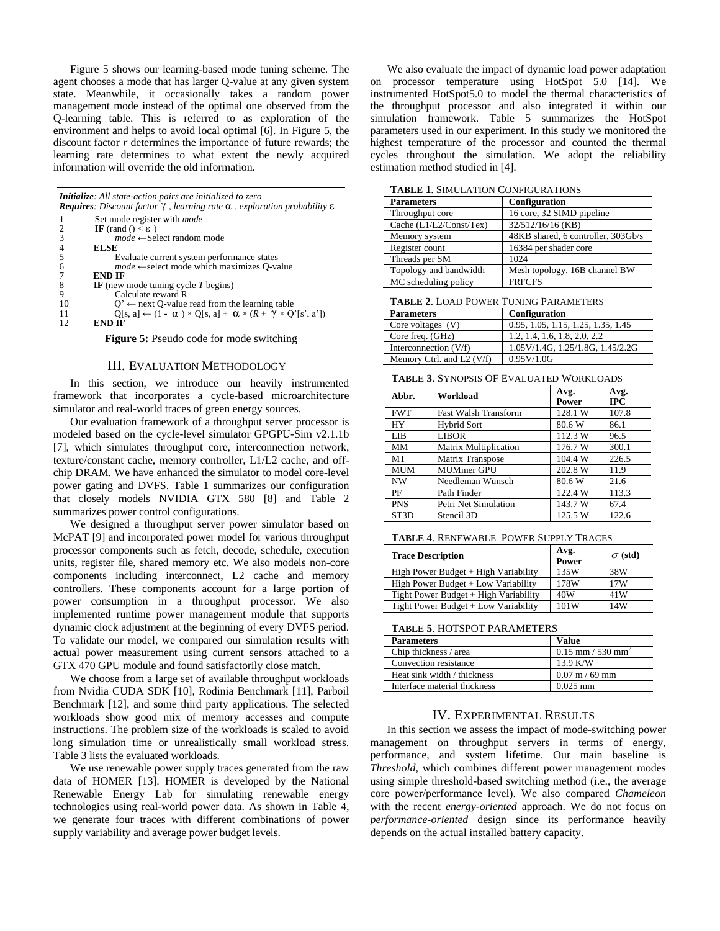Figure 5 shows our learning-based mode tuning scheme. The agent chooses a mode that has larger Q-value at any given system state. Meanwhile, it occasionally takes a random power management mode instead of the optimal one observed from the Q-learning table. This is referred to as exploration of the environment and helps to avoid local optimal [6]. In Figure 5, the discount factor *r* determines the importance of future rewards; the learning rate determines to what extent the newly acquired information will override the old information.

| Initialize: All state-action pairs are initialized to zero<br><b>Requires:</b> Discount factor $\gamma$ , learning rate $\alpha$ , exploration probability $\varepsilon$ |                                                                                                 |  |
|--------------------------------------------------------------------------------------------------------------------------------------------------------------------------|-------------------------------------------------------------------------------------------------|--|
|                                                                                                                                                                          | Set mode register with <i>mode</i>                                                              |  |
|                                                                                                                                                                          | IF (rand () $< \varepsilon$ )                                                                   |  |
| 3                                                                                                                                                                        | $mode \leftarrow$ Select random mode                                                            |  |
| 4                                                                                                                                                                        | <b>ELSE</b>                                                                                     |  |
|                                                                                                                                                                          | Evaluate current system performance states                                                      |  |
| 6                                                                                                                                                                        | $mode \leftarrow$ select mode which maximizes O-value                                           |  |
|                                                                                                                                                                          | <b>END IF</b>                                                                                   |  |
| 8                                                                                                                                                                        | IF (new mode tuning cycle $T$ begins)                                                           |  |
| 9                                                                                                                                                                        | Calculate reward R                                                                              |  |
| 10                                                                                                                                                                       | $Q' \leftarrow$ next Q-value read from the learning table                                       |  |
| 11                                                                                                                                                                       | $Q[s, a] \leftarrow (1 - \alpha) \times Q[s, a] + \alpha \times (R + \gamma \times Q'[s', a'])$ |  |
| 12                                                                                                                                                                       | END IF                                                                                          |  |

**Figure 5:** Pseudo code for mode switching

#### III. EVALUATION METHODOLOGY

In this section, we introduce our heavily instrumented framework that incorporates a cycle-based microarchitecture simulator and real-world traces of green energy sources.

Our evaluation framework of a throughput server processor is modeled based on the cycle-level simulator GPGPU-Sim v2.1.1b [7], which simulates throughput core, interconnection network, texture/constant cache, memory controller, L1/L2 cache, and offchip DRAM. We have enhanced the simulator to model core-level power gating and DVFS. Table 1 summarizes our configuration that closely models NVIDIA GTX 580 [8] and Table 2 summarizes power control configurations.

We designed a throughput server power simulator based on McPAT [9] and incorporated power model for various throughput processor components such as fetch, decode, schedule, execution units, register file, shared memory etc. We also models non-core components including interconnect, L2 cache and memory controllers. These components account for a large portion of power consumption in a throughput processor. We also implemented runtime power management module that supports dynamic clock adjustment at the beginning of every DVFS period. To validate our model, we compared our simulation results with actual power measurement using current sensors attached to a GTX 470 GPU module and found satisfactorily close match.

We choose from a large set of available throughput workloads from Nvidia CUDA SDK [10], Rodinia Benchmark [11], Parboil Benchmark [12], and some third party applications. The selected workloads show good mix of memory accesses and compute instructions. The problem size of the workloads is scaled to avoid long simulation time or unrealistically small workload stress. Table 3 lists the evaluated workloads.

We use renewable power supply traces generated from the raw data of HOMER [13]. HOMER is developed by the National Renewable Energy Lab for simulating renewable energy technologies using real-world power data. As shown in Table 4, we generate four traces with different combinations of power supply variability and average power budget levels.

We also evaluate the impact of dynamic load power adaptation on processor temperature using HotSpot 5.0 [14]. We instrumented HotSpot5.0 to model the thermal characteristics of the throughput processor and also integrated it within our simulation framework. Table 5 summarizes the HotSpot parameters used in our experiment. In this study we monitored the highest temperature of the processor and counted the thermal cycles throughout the simulation. We adopt the reliability estimation method studied in [4].

**TABLE 1**. SIMULATION CONFIGURATIONS

| <b>Parameters</b>       | Configuration                      |
|-------------------------|------------------------------------|
| Throughput core         | 16 core, 32 SIMD pipeline          |
| Cache (L1/L2/Const/Tex) | 32/512/16/16 (KB)                  |
| Memory system           | 48KB shared, 6 controller, 303Gb/s |
| Register count          | 16384 per shader core              |
| Threads per SM          | 1024                               |
| Topology and bandwidth  | Mesh topology, 16B channel BW      |
| MC scheduling policy    | <b>FRFCFS</b>                      |

| <b>TABLE 2. LOAD POWER TUNING PARAMETERS</b> |  |  |  |
|----------------------------------------------|--|--|--|
|----------------------------------------------|--|--|--|

| <b>Parameters</b>           | <b>Configuration</b>               |
|-----------------------------|------------------------------------|
| Core voltages $(V)$         | 0.95, 1.05, 1.15, 1.25, 1.35, 1.45 |
| Core freq. (GHz)            | 1.2, 1.4, 1.6, 1.8, 2.0, 2.2       |
| Interconnection $(V/f)$     | 1.05V/1.4G, 1.25/1.8G, 1.45/2.2G   |
| Memory Ctrl. and L2 $(V/f)$ | 0.95V/1.0G                         |

**TABLE 3**. SYNOPSIS OF EVALUATED WORKLOADS

| Abbr.             | Workload                     | Avg.<br>Power | Avg.<br><b>IPC</b> |
|-------------------|------------------------------|---------------|--------------------|
| <b>FWT</b>        | <b>Fast Walsh Transform</b>  | 128.1 W       | 107.8              |
| HY                | <b>Hybrid Sort</b>           | 80.6 W        | 86.1               |
| LIB               | <b>LIBOR</b>                 | 112.3 W       | 96.5               |
| MM                | <b>Matrix Multiplication</b> | 176.7 W       | 300.1              |
| МT                | Matrix Transpose             | 104.4 W       | 226.5              |
| <b>MUM</b>        | <b>MUMmer GPU</b>            | 202.8 W       | 11.9               |
| <b>NW</b>         | Needleman Wunsch             | 80.6 W        | 21.6               |
| PF                | Path Finder                  | 122.4 W       | 113.3              |
| <b>PNS</b>        | Petri Net Simulation         | 143.7 W       | 67.4               |
| ST <sub>3</sub> D | Stencil 3D                   | 125.5 W       | 122.6              |

**TABLE 4**. RENEWABLE POWER SUPPLY TRACES

| <b>Trace Description</b>              | Avg.<br>Power | $\sigma$ (std) |
|---------------------------------------|---------------|----------------|
| High Power Budget + High Variability  | 135W          | 38W            |
| High Power Budget + Low Variability   | 178W          | 17W            |
| Tight Power Budget + High Variability | 40W           | 41W            |
| Tight Power Budget + Low Variability  | 101W          | 14W            |

**TABLE 5**. HOTSPOT PARAMETERS

| <b>Parameters</b>            | Value                           |  |
|------------------------------|---------------------------------|--|
| Chip thickness / area        | $0.15$ mm / 530 mm <sup>2</sup> |  |
| Convection resistance        | 13.9 K/W                        |  |
| Heat sink width / thickness  | $0.07$ m / 69 mm                |  |
| Interface material thickness | $0.025$ mm                      |  |

# IV. EXPERIMENTAL RESULTS

In this section we assess the impact of mode-switching power management on throughput servers in terms of energy, performance, and system lifetime. Our main baseline is *Threshold*, which combines different power management modes using simple threshold-based switching method (i.e., the average core power/performance level). We also compared *Chameleon* with the recent *energy-oriented* approach. We do not focus on *performance-oriented* design since its performance heavily depends on the actual installed battery capacity.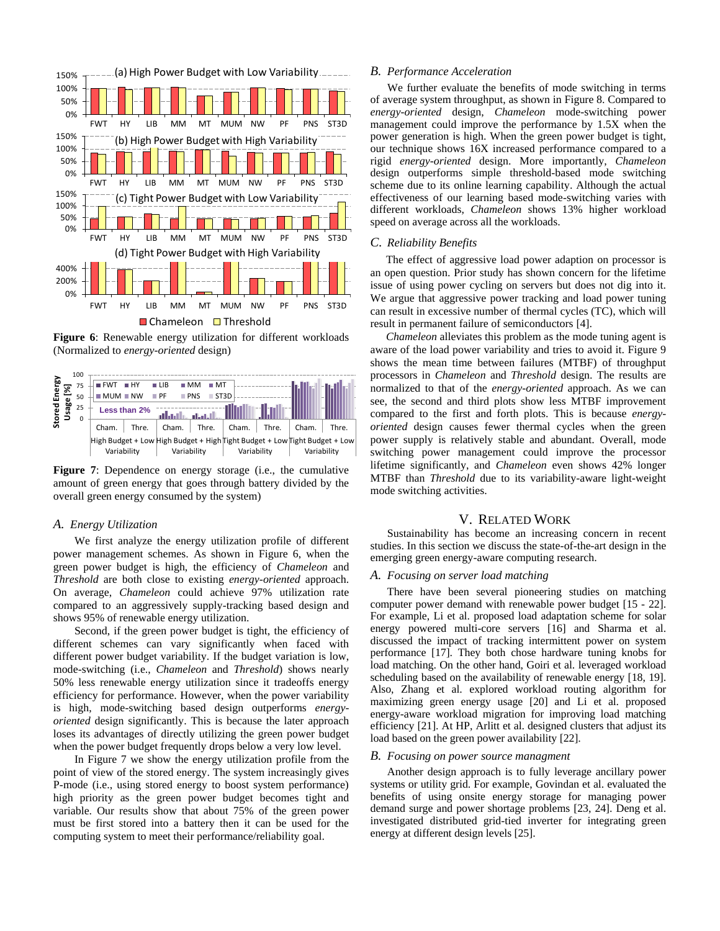

**Figure 6**: Renewable energy utilization for different workloads (Normalized to *energy-oriented* design)



**Figure 7**: Dependence on energy storage (i.e., the cumulative amount of green energy that goes through battery divided by the overall green energy consumed by the system)

# *A. Energy Utilization*

We first analyze the energy utilization profile of different power management schemes. As shown in Figure 6, when the green power budget is high, the efficiency of *Chameleon* and *Threshold* are both close to existing *energy-oriented* approach. On average, *Chameleon* could achieve 97% utilization rate compared to an aggressively supply-tracking based design and shows 95% of renewable energy utilization.

Second, if the green power budget is tight, the efficiency of different schemes can vary significantly when faced with different power budget variability. If the budget variation is low, mode-switching (i.e., *Chameleon* and *Threshold*) shows nearly 50% less renewable energy utilization since it tradeoffs energy efficiency for performance. However, when the power variability is high, mode-switching based design outperforms *energyoriented* design significantly. This is because the later approach loses its advantages of directly utilizing the green power budget when the power budget frequently drops below a very low level.

In Figure 7 we show the energy utilization profile from the point of view of the stored energy. The system increasingly gives P-mode (i.e., using stored energy to boost system performance) high priority as the green power budget becomes tight and variable. Our results show that about 75% of the green power must be first stored into a battery then it can be used for the computing system to meet their performance/reliability goal.

#### *B. Performance Acceleration*

We further evaluate the benefits of mode switching in terms of average system throughput, as shown in Figure 8. Compared to *energy-oriented* design, *Chameleon* mode-switching power management could improve the performance by 1.5X when the power generation is high. When the green power budget is tight, our technique shows 16X increased performance compared to a rigid *energy-oriented* design. More importantly, *Chameleon* design outperforms simple threshold-based mode switching scheme due to its online learning capability. Although the actual effectiveness of our learning based mode-switching varies with different workloads, *Chameleon* shows 13% higher workload speed on average across all the workloads.

## *C. Reliability Benefits*

The effect of aggressive load power adaption on processor is an open question. Prior study has shown concern for the lifetime issue of using power cycling on servers but does not dig into it. We argue that aggressive power tracking and load power tuning can result in excessive number of thermal cycles (TC), which will result in permanent failure of semiconductors [4].

*Chameleon* alleviates this problem as the mode tuning agent is aware of the load power variability and tries to avoid it. Figure 9 shows the mean time between failures (MTBF) of throughput processors in *Chameleon* and *Threshold* design. The results are normalized to that of the *energy-oriented* approach. As we can see, the second and third plots show less MTBF improvement compared to the first and forth plots. This is because *energyoriented* design causes fewer thermal cycles when the green power supply is relatively stable and abundant. Overall, mode switching power management could improve the processor lifetime significantly, and *Chameleon* even shows 42% longer MTBF than *Threshold* due to its variability-aware light-weight mode switching activities.

#### V. RELATED WORK

Sustainability has become an increasing concern in recent studies. In this section we discuss the state-of-the-art design in the emerging green energy-aware computing research.

#### *A. Focusing on server load matching*

There have been several pioneering studies on matching computer power demand with renewable power budget [15 - 22]. For example, Li et al. proposed load adaptation scheme for solar energy powered multi-core servers [16] and Sharma et al. discussed the impact of tracking intermittent power on system performance [17]. They both chose hardware tuning knobs for load matching. On the other hand, Goiri et al. leveraged workload scheduling based on the availability of renewable energy [18, 19]. Also, Zhang et al. explored workload routing algorithm for maximizing green energy usage [20] and Li et al. proposed energy-aware workload migration for improving load matching efficiency [21]. At HP, Arlitt et al. designed clusters that adjust its load based on the green power availability [22].

#### *B. Focusing on power source managment*

Another design approach is to fully leverage ancillary power systems or utility grid. For example, Govindan et al. evaluated the benefits of using onsite energy storage for managing power demand surge and power shortage problems [23, 24]. Deng et al. investigated distributed grid-tied inverter for integrating green energy at different design levels [25].